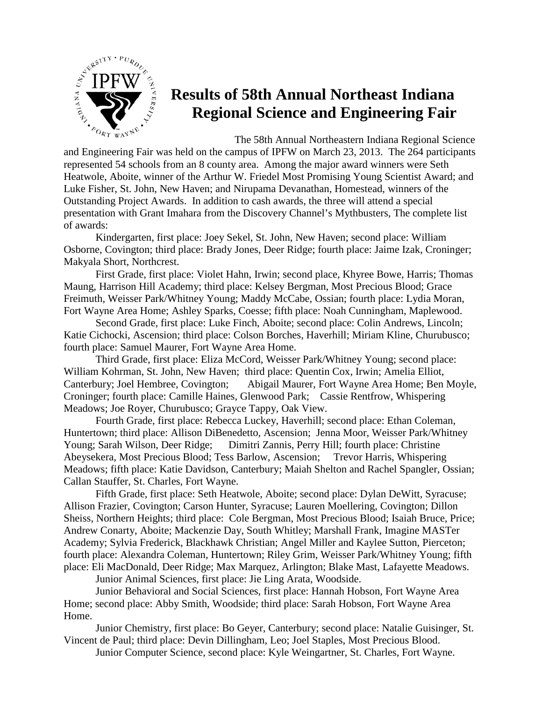

## **Results of 58th Annual Northeast Indiana Regional Science and Engineering Fair**

The 58th Annual Northeastern Indiana Regional Science

and Engineering Fair was held on the campus of IPFW on March 23, 2013. The 264 participants represented 54 schools from an 8 county area. Among the major award winners were Seth Heatwole, Aboite, winner of the Arthur W. Friedel Most Promising Young Scientist Award; and Luke Fisher, St. John, New Haven; and Nirupama Devanathan, Homestead, winners of the Outstanding Project Awards. In addition to cash awards, the three will attend a special presentation with Grant Imahara from the Discovery Channel's Mythbusters, The complete list of awards:

Kindergarten, first place: Joey Sekel, St. John, New Haven; second place: William Osborne, Covington; third place: Brady Jones, Deer Ridge; fourth place: Jaime Izak, Croninger; Makyala Short, Northcrest.

First Grade, first place: Violet Hahn, Irwin; second place, Khyree Bowe, Harris; Thomas Maung, Harrison Hill Academy; third place: Kelsey Bergman, Most Precious Blood; Grace Freimuth, Weisser Park/Whitney Young; Maddy McCabe, Ossian; fourth place: Lydia Moran, Fort Wayne Area Home; Ashley Sparks, Coesse; fifth place: Noah Cunningham, Maplewood.

Second Grade, first place: Luke Finch, Aboite; second place: Colin Andrews, Lincoln; Katie Cichocki, Ascension; third place: Colson Borches, Haverhill; Miriam Kline, Churubusco; fourth place: Samuel Maurer, Fort Wayne Area Home.

Third Grade, first place: Eliza McCord, Weisser Park/Whitney Young; second place: William Kohrman, St. John, New Haven; third place: Quentin Cox, Irwin; Amelia Elliot, Canterbury; Joel Hembree, Covington; Abigail Maurer, Fort Wayne Area Home; Ben Moyle, Croninger; fourth place: Camille Haines, Glenwood Park; Cassie Rentfrow, Whispering Meadows; Joe Royer, Churubusco; Grayce Tappy, Oak View.

Fourth Grade, first place: Rebecca Luckey, Haverhill; second place: Ethan Coleman, Huntertown; third place: Allison DiBenedetto, Ascension; Jenna Moor, Weisser Park/Whitney Young; Sarah Wilson, Deer Ridge; Dimitri Zannis, Perry Hill; fourth place: Christine Abeysekera, Most Precious Blood; Tess Barlow, Ascension; Trevor Harris, Whispering Meadows; fifth place: Katie Davidson, Canterbury; Maiah Shelton and Rachel Spangler, Ossian; Callan Stauffer, St. Charles, Fort Wayne.

Fifth Grade, first place: Seth Heatwole, Aboite; second place: Dylan DeWitt, Syracuse; Allison Frazier, Covington; Carson Hunter, Syracuse; Lauren Moellering, Covington; Dillon Sheiss, Northern Heights; third place: Cole Bergman, Most Precious Blood; Isaiah Bruce, Price; Andrew Conarty, Aboite; Mackenzie Day, South Whitley; Marshall Frank, Imagine MASTer Academy; Sylvia Frederick, Blackhawk Christian; Angel Miller and Kaylee Sutton, Pierceton; fourth place: Alexandra Coleman, Huntertown; Riley Grim, Weisser Park/Whitney Young; fifth place: Eli MacDonald, Deer Ridge; Max Marquez, Arlington; Blake Mast, Lafayette Meadows.

Junior Animal Sciences, first place: Jie Ling Arata, Woodside.

Junior Behavioral and Social Sciences, first place: Hannah Hobson, Fort Wayne Area Home; second place: Abby Smith, Woodside; third place: Sarah Hobson, Fort Wayne Area Home.

Junior Chemistry, first place: Bo Geyer, Canterbury; second place: Natalie Guisinger, St. Vincent de Paul; third place: Devin Dillingham, Leo; Joel Staples, Most Precious Blood.

Junior Computer Science, second place: Kyle Weingartner, St. Charles, Fort Wayne.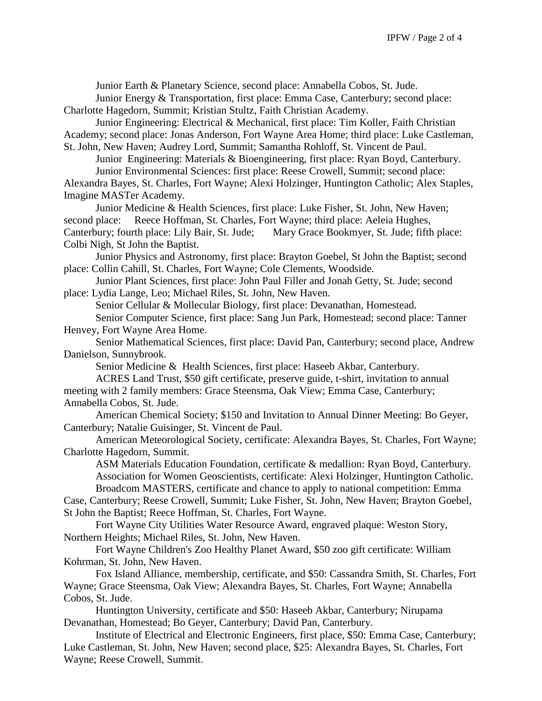Junior Earth & Planetary Science, second place: Annabella Cobos, St. Jude.

Junior Energy & Transportation, first place: Emma Case, Canterbury; second place: Charlotte Hagedorn, Summit; Kristian Stultz, Faith Christian Academy.

Junior Engineering: Electrical & Mechanical, first place: Tim Koller, Faith Christian Academy; second place: Jonas Anderson, Fort Wayne Area Home; third place: Luke Castleman, St. John, New Haven; Audrey Lord, Summit; Samantha Rohloff, St. Vincent de Paul.

Junior Engineering: Materials & Bioengineering, first place: Ryan Boyd, Canterbury. Junior Environmental Sciences: first place: Reese Crowell, Summit; second place:

Alexandra Bayes, St. Charles, Fort Wayne; Alexi Holzinger, Huntington Catholic; Alex Staples, Imagine MASTer Academy.

Junior Medicine & Health Sciences, first place: Luke Fisher, St. John, New Haven; second place: Reece Hoffman, St. Charles, Fort Wayne; third place: Aeleia Hughes, Canterbury; fourth place: Lily Bair, St. Jude; Mary Grace Bookmyer, St. Jude; fifth place: Colbi Nigh, St John the Baptist.

Junior Physics and Astronomy, first place: Brayton Goebel, St John the Baptist; second place: Collin Cahill, St. Charles, Fort Wayne; Cole Clements, Woodside.

Junior Plant Sciences, first place: John Paul Filler and Jonah Getty, St. Jude; second place: Lydia Lange, Leo; Michael Riles, St. John, New Haven.

Senior Cellular & Mollecular Biology, first place: Devanathan, Homestead.

Senior Computer Science, first place: Sang Jun Park, Homestead; second place: Tanner Henvey, Fort Wayne Area Home.

Senior Mathematical Sciences, first place: David Pan, Canterbury; second place, Andrew Danielson, Sunnybrook.

Senior Medicine & Health Sciences, first place: Haseeb Akbar, Canterbury.

ACRES Land Trust, \$50 gift certificate, preserve guide, t-shirt, invitation to annual meeting with 2 family members: Grace Steensma, Oak View; Emma Case, Canterbury; Annabella Cobos, St. Jude.

American Chemical Society; \$150 and Invitation to Annual Dinner Meeting: Bo Geyer, Canterbury; Natalie Guisinger, St. Vincent de Paul.

American Meteorological Society, certificate: Alexandra Bayes, St. Charles, Fort Wayne; Charlotte Hagedorn, Summit.

ASM Materials Education Foundation, certificate & medallion: Ryan Boyd, Canterbury. Association for Women Geoscientists, certificate: Alexi Holzinger, Huntington Catholic. Broadcom MASTERS, certificate and chance to apply to national competition: Emma

Case, Canterbury; Reese Crowell, Summit; Luke Fisher, St. John, New Haven; Brayton Goebel, St John the Baptist; Reece Hoffman, St. Charles, Fort Wayne.

Fort Wayne City Utilities Water Resource Award, engraved plaque: Weston Story, Northern Heights; Michael Riles, St. John, New Haven.

Fort Wayne Children's Zoo Healthy Planet Award, \$50 zoo gift certificate: William Kohrman, St. John, New Haven.

Fox Island Alliance, membership, certificate, and \$50: Cassandra Smith, St. Charles, Fort Wayne; Grace Steensma, Oak View; Alexandra Bayes, St. Charles, Fort Wayne; Annabella Cobos, St. Jude.

Huntington University, certificate and \$50: Haseeb Akbar, Canterbury; Nirupama Devanathan, Homestead; Bo Geyer, Canterbury; David Pan, Canterbury.

Institute of Electrical and Electronic Engineers, first place, \$50: Emma Case, Canterbury; Luke Castleman, St. John, New Haven; second place, \$25: Alexandra Bayes, St. Charles, Fort Wayne; Reese Crowell, Summit.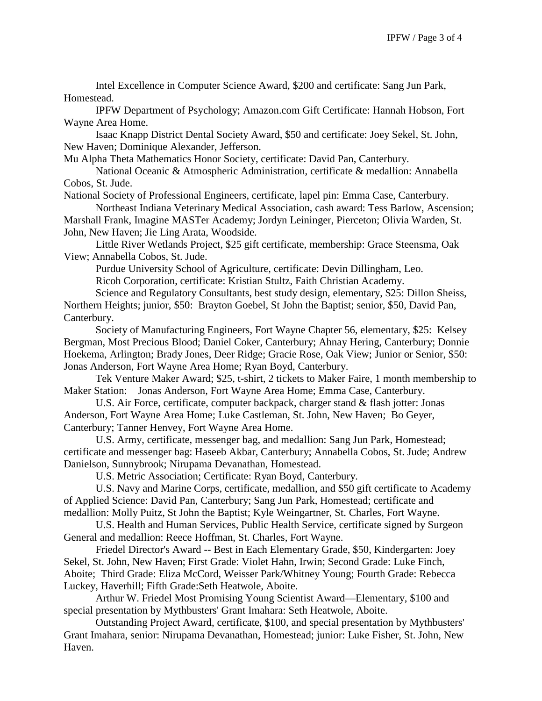Intel Excellence in Computer Science Award, \$200 and certificate: Sang Jun Park, Homestead.

IPFW Department of Psychology; Amazon.com Gift Certificate: Hannah Hobson, Fort Wayne Area Home.

Isaac Knapp District Dental Society Award, \$50 and certificate: Joey Sekel, St. John, New Haven; Dominique Alexander, Jefferson.

Mu Alpha Theta Mathematics Honor Society, certificate: David Pan, Canterbury.

National Oceanic & Atmospheric Administration, certificate & medallion: Annabella Cobos, St. Jude.

National Society of Professional Engineers, certificate, lapel pin: Emma Case, Canterbury.

Northeast Indiana Veterinary Medical Association, cash award: Tess Barlow, Ascension; Marshall Frank, Imagine MASTer Academy; Jordyn Leininger, Pierceton; Olivia Warden, St. John, New Haven; Jie Ling Arata, Woodside.

Little River Wetlands Project, \$25 gift certificate, membership: Grace Steensma, Oak View; Annabella Cobos, St. Jude.

Purdue University School of Agriculture, certificate: Devin Dillingham, Leo.

Ricoh Corporation, certificate: Kristian Stultz, Faith Christian Academy.

Science and Regulatory Consultants, best study design, elementary, \$25: Dillon Sheiss, Northern Heights; junior, \$50: Brayton Goebel, St John the Baptist; senior, \$50, David Pan, Canterbury.

Society of Manufacturing Engineers, Fort Wayne Chapter 56, elementary, \$25: Kelsey Bergman, Most Precious Blood; Daniel Coker, Canterbury; Ahnay Hering, Canterbury; Donnie Hoekema, Arlington; Brady Jones, Deer Ridge; Gracie Rose, Oak View; Junior or Senior, \$50: Jonas Anderson, Fort Wayne Area Home; Ryan Boyd, Canterbury.

Tek Venture Maker Award; \$25, t-shirt, 2 tickets to Maker Faire, 1 month membership to Maker Station: Jonas Anderson, Fort Wayne Area Home; Emma Case, Canterbury.

U.S. Air Force, certificate, computer backpack, charger stand & flash jotter: Jonas Anderson, Fort Wayne Area Home; Luke Castleman, St. John, New Haven; Bo Geyer, Canterbury; Tanner Henvey, Fort Wayne Area Home.

U.S. Army, certificate, messenger bag, and medallion: Sang Jun Park, Homestead; certificate and messenger bag: Haseeb Akbar, Canterbury; Annabella Cobos, St. Jude; Andrew Danielson, Sunnybrook; Nirupama Devanathan, Homestead.

U.S. Metric Association; Certificate: Ryan Boyd, Canterbury.

U.S. Navy and Marine Corps, certificate, medallion, and \$50 gift certificate to Academy of Applied Science: David Pan, Canterbury; Sang Jun Park, Homestead; certificate and medallion: Molly Puitz, St John the Baptist; Kyle Weingartner, St. Charles, Fort Wayne.

U.S. Health and Human Services, Public Health Service, certificate signed by Surgeon General and medallion: Reece Hoffman, St. Charles, Fort Wayne.

Friedel Director's Award -- Best in Each Elementary Grade, \$50, Kindergarten: Joey Sekel, St. John, New Haven; First Grade: Violet Hahn, Irwin; Second Grade: Luke Finch, Aboite; Third Grade: Eliza McCord, Weisser Park/Whitney Young; Fourth Grade: Rebecca Luckey, Haverhill; Fifth Grade:Seth Heatwole, Aboite.

Arthur W. Friedel Most Promising Young Scientist Award—Elementary, \$100 and special presentation by Mythbusters' Grant Imahara: Seth Heatwole, Aboite.

Outstanding Project Award, certificate, \$100, and special presentation by Mythbusters' Grant Imahara, senior: Nirupama Devanathan, Homestead; junior: Luke Fisher, St. John, New Haven.